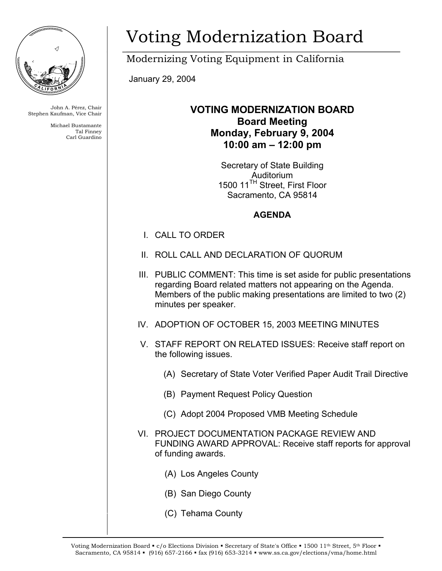

John A. Pérez, Chair Stephen Kaufman, Vice Chair

> Michael Bustamante Tal Finney Carl Guardino

## Voting Modernization Board

Modernizing Voting Equipment in California

January 29, 2004

## **VOTING MODERNIZATION BOARD Board Meeting Monday, February 9, 2004 10:00 am – 12:00 pm**

Secretary of State Building Auditorium 1500 11<sup>TH</sup> Street, First Floor Sacramento, CA 95814

## **AGENDA**

- I. CALL TO ORDER
- II. ROLL CALL AND DECLARATION OF QUORUM
- III. PUBLIC COMMENT: This time is set aside for public presentations regarding Board related matters not appearing on the Agenda. Members of the public making presentations are limited to two (2) minutes per speaker.
- IV. ADOPTION OF OCTOBER 15, 2003 MEETING MINUTES
- V. STAFF REPORT ON RELATED ISSUES: Receive staff report on the following issues.
	- (A) Secretary of State Voter Verified Paper Audit Trail Directive
	- (B) Payment Request Policy Question
	- (C) Adopt 2004 Proposed VMB Meeting Schedule
- VI. PROJECT DOCUMENTATION PACKAGE REVIEW AND FUNDING AWARD APPROVAL: Receive staff reports for approval of funding awards.
	- (A) Los Angeles County
	- (B) San Diego County
	- (C) Tehama County